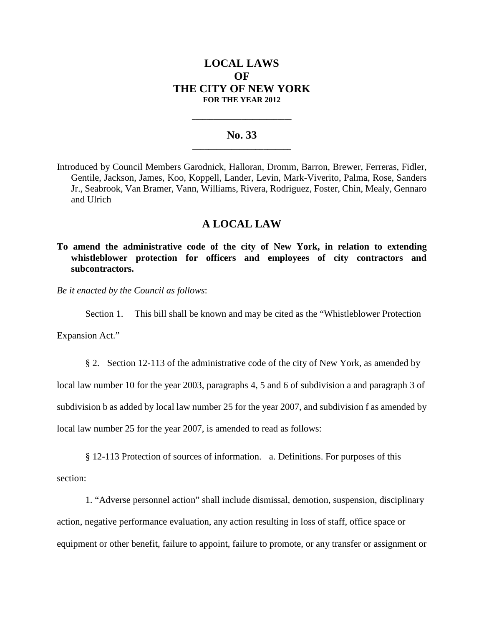# **LOCAL LAWS OF THE CITY OF NEW YORK FOR THE YEAR 2012**

### **No. 33 \_\_\_\_\_\_\_\_\_\_\_\_\_\_\_\_\_\_\_\_\_\_\_\_\_**

**\_\_\_\_\_\_\_\_\_\_\_\_\_\_\_\_\_\_\_\_\_\_\_\_\_\_\_\_**

Introduced by Council Members Garodnick, Halloran, Dromm, Barron, Brewer, Ferreras, Fidler, Gentile, Jackson, James, Koo, Koppell, Lander, Levin, Mark-Viverito, Palma, Rose, Sanders Jr., Seabrook, Van Bramer, Vann, Williams, Rivera, Rodriguez, Foster, Chin, Mealy, Gennaro and Ulrich

## **A LOCAL LAW**

**To amend the administrative code of the city of New York, in relation to extending whistleblower protection for officers and employees of city contractors and subcontractors.**

*Be it enacted by the Council as follows*:

Section 1. This bill shall be known and may be cited as the "Whistleblower Protection

Expansion Act."

§ 2. Section 12-113 of the administrative code of the city of New York, as amended by

local law number 10 for the year 2003, paragraphs 4, 5 and 6 of subdivision a and paragraph 3 of

subdivision b as added by local law number 25 for the year 2007, and subdivision f as amended by

local law number 25 for the year 2007, is amended to read as follows:

§ 12-113 Protection of sources of information. a. Definitions. For purposes of this section:

1. "Adverse personnel action" shall include dismissal, demotion, suspension, disciplinary action, negative performance evaluation, any action resulting in loss of staff, office space or equipment or other benefit, failure to appoint, failure to promote, or any transfer or assignment or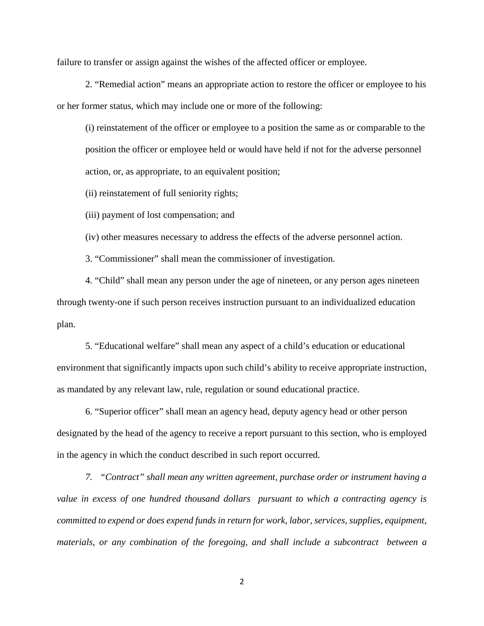failure to transfer or assign against the wishes of the affected officer or employee.

2. "Remedial action" means an appropriate action to restore the officer or employee to his or her former status, which may include one or more of the following:

(i) reinstatement of the officer or employee to a position the same as or comparable to the position the officer or employee held or would have held if not for the adverse personnel action, or, as appropriate, to an equivalent position;

(ii) reinstatement of full seniority rights;

(iii) payment of lost compensation; and

(iv) other measures necessary to address the effects of the adverse personnel action.

3. "Commissioner" shall mean the commissioner of investigation.

4. "Child" shall mean any person under the age of nineteen, or any person ages nineteen through twenty-one if such person receives instruction pursuant to an individualized education plan.

5. "Educational welfare" shall mean any aspect of a child's education or educational environment that significantly impacts upon such child's ability to receive appropriate instruction, as mandated by any relevant law, rule, regulation or sound educational practice.

6. "Superior officer" shall mean an agency head, deputy agency head or other person designated by the head of the agency to receive a report pursuant to this section, who is employed in the agency in which the conduct described in such report occurred.

*7. "Contract" shall mean any written agreement, purchase order or instrument having a value in excess of one hundred thousand dollars pursuant to which a contracting agency is committed to expend or does expend funds in return for work, labor, services, supplies, equipment, materials, or any combination of the foregoing, and shall include a subcontract between a*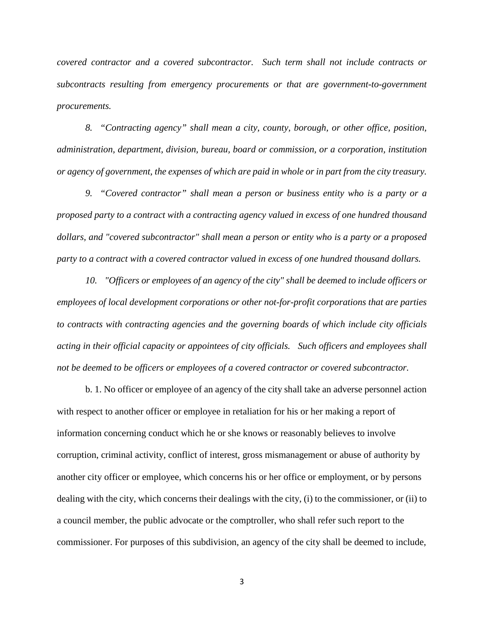*covered contractor and a covered subcontractor. Such term shall not include contracts or subcontracts resulting from emergency procurements or that are government-to-government procurements.*

*8. "Contracting agency" shall mean a city, county, borough, or other office, position, administration, department, division, bureau, board or commission, or a corporation, institution or agency of government, the expenses of which are paid in whole or in part from the city treasury.*

*9. "Covered contractor" shall mean a person or business entity who is a party or a proposed party to a contract with a contracting agency valued in excess of one hundred thousand dollars, and "covered subcontractor" shall mean a person or entity who is a party or a proposed party to a contract with a covered contractor valued in excess of one hundred thousand dollars.*

*10. "Officers or employees of an agency of the city" shall be deemed to include officers or employees of local development corporations or other not-for-profit corporations that are parties to contracts with contracting agencies and the governing boards of which include city officials acting in their official capacity or appointees of city officials. Such officers and employees shall not be deemed to be officers or employees of a covered contractor or covered subcontractor.*

b. 1. No officer or employee of an agency of the city shall take an adverse personnel action with respect to another officer or employee in retaliation for his or her making a report of information concerning conduct which he or she knows or reasonably believes to involve corruption, criminal activity, conflict of interest, gross mismanagement or abuse of authority by another city officer or employee, which concerns his or her office or employment, or by persons dealing with the city, which concerns their dealings with the city, (i) to the commissioner, or (ii) to a council member, the public advocate or the comptroller, who shall refer such report to the commissioner. For purposes of this subdivision, an agency of the city shall be deemed to include,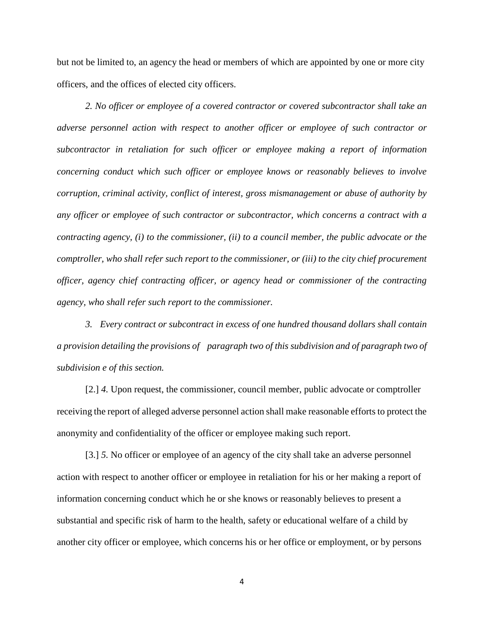but not be limited to, an agency the head or members of which are appointed by one or more city officers, and the offices of elected city officers.

*2. No officer or employee of a covered contractor or covered subcontractor shall take an adverse personnel action with respect to another officer or employee of such contractor or subcontractor in retaliation for such officer or employee making a report of information concerning conduct which such officer or employee knows or reasonably believes to involve corruption, criminal activity, conflict of interest, gross mismanagement or abuse of authority by any officer or employee of such contractor or subcontractor, which concerns a contract with a contracting agency, (i) to the commissioner, (ii) to a council member, the public advocate or the comptroller, who shall refer such report to the commissioner, or (iii) to the city chief procurement officer, agency chief contracting officer, or agency head or commissioner of the contracting agency, who shall refer such report to the commissioner.*

*3. Every contract or subcontract in excess of one hundred thousand dollars shall contain a provision detailing the provisions of paragraph two of this subdivision and of paragraph two of subdivision e of this section.*

[2.] *4.* Upon request, the commissioner, council member, public advocate or comptroller receiving the report of alleged adverse personnel action shall make reasonable efforts to protect the anonymity and confidentiality of the officer or employee making such report.

[3.] *5.* No officer or employee of an agency of the city shall take an adverse personnel action with respect to another officer or employee in retaliation for his or her making a report of information concerning conduct which he or she knows or reasonably believes to present a substantial and specific risk of harm to the health, safety or educational welfare of a child by another city officer or employee, which concerns his or her office or employment, or by persons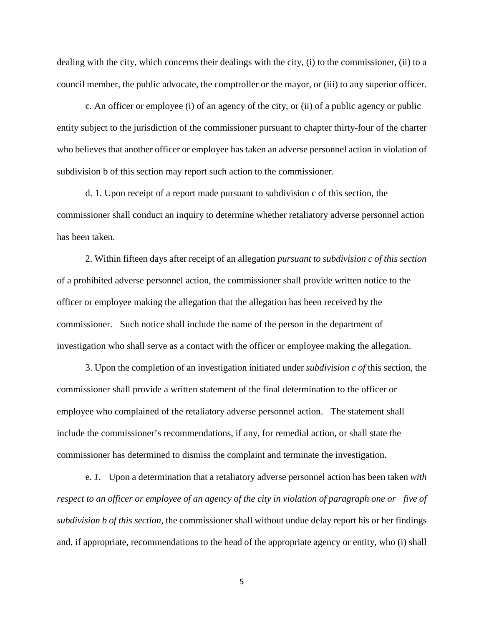dealing with the city, which concerns their dealings with the city, (i) to the commissioner, (ii) to a council member, the public advocate, the comptroller or the mayor, or (iii) to any superior officer.

c. An officer or employee (i) of an agency of the city, or (ii) of a public agency or public entity subject to the jurisdiction of the commissioner pursuant to chapter thirty-four of the charter who believes that another officer or employee has taken an adverse personnel action in violation of subdivision b of this section may report such action to the commissioner.

d. 1. Upon receipt of a report made pursuant to subdivision c of this section, the commissioner shall conduct an inquiry to determine whether retaliatory adverse personnel action has been taken.

2. Within fifteen days after receipt of an allegation *pursuant to subdivision c of this section* of a prohibited adverse personnel action, the commissioner shall provide written notice to the officer or employee making the allegation that the allegation has been received by the commissioner. Such notice shall include the name of the person in the department of investigation who shall serve as a contact with the officer or employee making the allegation.

3. Upon the completion of an investigation initiated under *subdivision c of* this section, the commissioner shall provide a written statement of the final determination to the officer or employee who complained of the retaliatory adverse personnel action. The statement shall include the commissioner's recommendations, if any, for remedial action, or shall state the commissioner has determined to dismiss the complaint and terminate the investigation.

e. *1.* Upon a determination that a retaliatory adverse personnel action has been taken *with respect to an officer or employee of an agency of the city in violation of paragraph one or five of subdivision b of this section*, the commissioner shall without undue delay report his or her findings and, if appropriate, recommendations to the head of the appropriate agency or entity, who (i) shall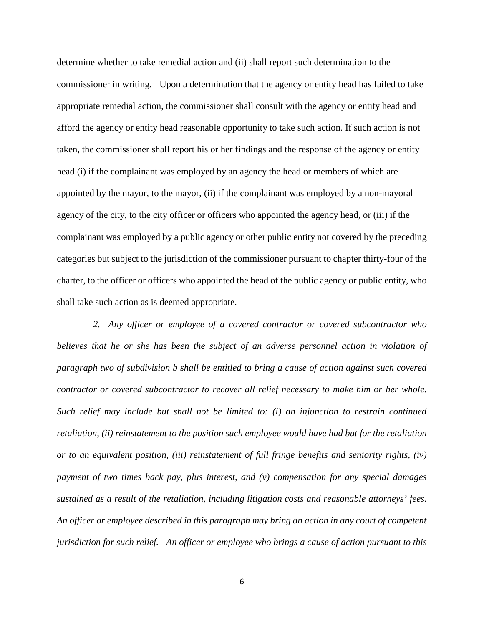determine whether to take remedial action and (ii) shall report such determination to the commissioner in writing. Upon a determination that the agency or entity head has failed to take appropriate remedial action, the commissioner shall consult with the agency or entity head and afford the agency or entity head reasonable opportunity to take such action. If such action is not taken, the commissioner shall report his or her findings and the response of the agency or entity head (i) if the complainant was employed by an agency the head or members of which are appointed by the mayor, to the mayor, (ii) if the complainant was employed by a non-mayoral agency of the city, to the city officer or officers who appointed the agency head, or (iii) if the complainant was employed by a public agency or other public entity not covered by the preceding categories but subject to the jurisdiction of the commissioner pursuant to chapter thirty-four of the charter, to the officer or officers who appointed the head of the public agency or public entity, who shall take such action as is deemed appropriate.

*2. Any officer or employee of a covered contractor or covered subcontractor who believes that he or she has been the subject of an adverse personnel action in violation of paragraph two of subdivision b shall be entitled to bring a cause of action against such covered contractor or covered subcontractor to recover all relief necessary to make him or her whole. Such relief may include but shall not be limited to: (i) an injunction to restrain continued retaliation, (ii) reinstatement to the position such employee would have had but for the retaliation or to an equivalent position, (iii) reinstatement of full fringe benefits and seniority rights, (iv) payment of two times back pay, plus interest, and (v) compensation for any special damages sustained as a result of the retaliation, including litigation costs and reasonable attorneys' fees. An officer or employee described in this paragraph may bring an action in any court of competent jurisdiction for such relief. An officer or employee who brings a cause of action pursuant to this*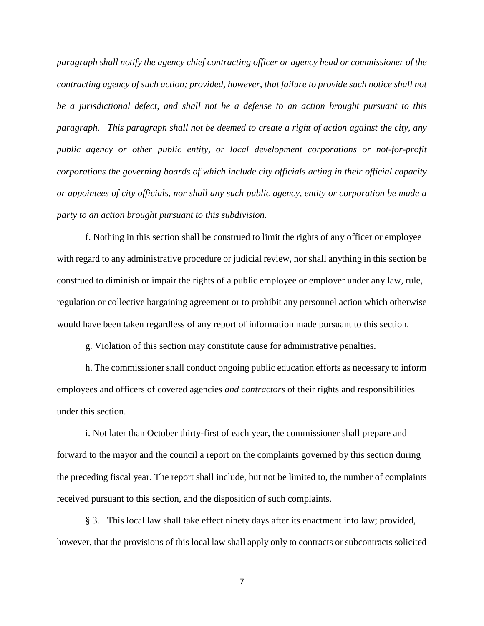*paragraph shall notify the agency chief contracting officer or agency head or commissioner of the contracting agency of such action; provided, however, that failure to provide such notice shall not be a jurisdictional defect, and shall not be a defense to an action brought pursuant to this paragraph. This paragraph shall not be deemed to create a right of action against the city, any public agency or other public entity, or local development corporations or not-for-profit corporations the governing boards of which include city officials acting in their official capacity or appointees of city officials, nor shall any such public agency, entity or corporation be made a party to an action brought pursuant to this subdivision.*

f. Nothing in this section shall be construed to limit the rights of any officer or employee with regard to any administrative procedure or judicial review, nor shall anything in this section be construed to diminish or impair the rights of a public employee or employer under any law, rule, regulation or collective bargaining agreement or to prohibit any personnel action which otherwise would have been taken regardless of any report of information made pursuant to this section.

g. Violation of this section may constitute cause for administrative penalties.

h. The commissioner shall conduct ongoing public education efforts as necessary to inform employees and officers of covered agencies *and contractors* of their rights and responsibilities under this section.

i. Not later than October thirty-first of each year, the commissioner shall prepare and forward to the mayor and the council a report on the complaints governed by this section during the preceding fiscal year. The report shall include, but not be limited to, the number of complaints received pursuant to this section, and the disposition of such complaints.

§ 3. This local law shall take effect ninety days after its enactment into law; provided, however, that the provisions of this local law shall apply only to contracts or subcontracts solicited